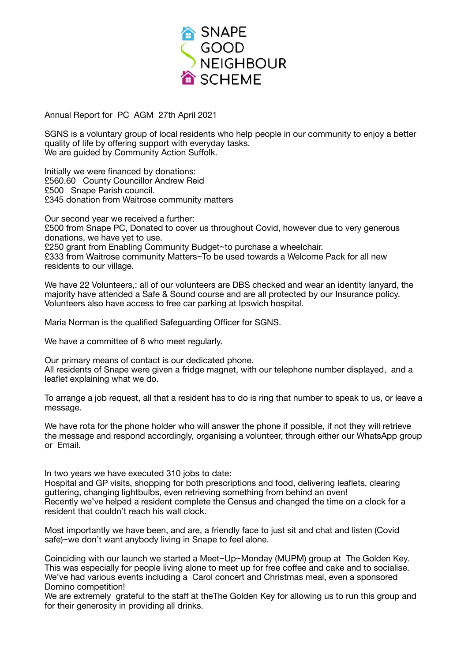

Annual Report for PC AGM 27th April 2021

SGNS is a voluntary group of local residents who help people in our community to enjoy a better quality of life by offering support with everyday tasks. We are guided by Community Action Suffolk.

Initially we were financed by donations: £560.60 County Councillor Andrew Reid £500 Snape Parish council. £345 donation from Waitrose community matters

Our second year we received a further: £500 from Snape PC, Donated to cover us throughout Covid, however due to very generous donations, we have yet to use. £250 grant from Enabling Community Budget~to purchase a wheelchair. £333 from Waitrose community Matters~To be used towards a Welcome Pack for all new residents to our village.

We have 22 Volunteers,: all of our volunteers are DBS checked and wear an identity lanyard, the majority have attended a Safe & Sound course and are all protected by our Insurance policy. Volunteers also have access to free car parking at Ipswich hospital.

Maria Norman is the qualified Safeguarding Officer for SGNS.

We have a committee of 6 who meet regularly.

Our primary means of contact is our dedicated phone. All residents of Snape were given a fridge magnet, with our telephone number displayed, and a leaflet explaining what we do.

To arrange a job request, all that a resident has to do is ring that number to speak to us, or leave a message.

We have rota for the phone holder who will answer the phone if possible, if not they will retrieve the message and respond accordingly, organising a volunteer, through either our WhatsApp group or Email.

In two years we have executed 310 jobs to date:

Hospital and GP visits, shopping for both prescriptions and food, delivering leaflets, clearing guttering, changing lightbulbs, even retrieving something from behind an oven! Recently we've helped a resident complete the Census and changed the time on a clock for a resident that couldn't reach his wall clock.

Most importantly we have been, and are, a friendly face to just sit and chat and listen (Covid safe)~we don't want anybody living in Snape to feel alone.

Coinciding with our launch we started a Meet~Up~Monday (MUPM) group at The Golden Key. This was especially for people living alone to meet up for free coffee and cake and to socialise. We've had various events including a Carol concert and Christmas meal, even a sponsored Domino competition!

We are extremely grateful to the staff at theThe Golden Key for allowing us to run this group and for their generosity in providing all drinks.